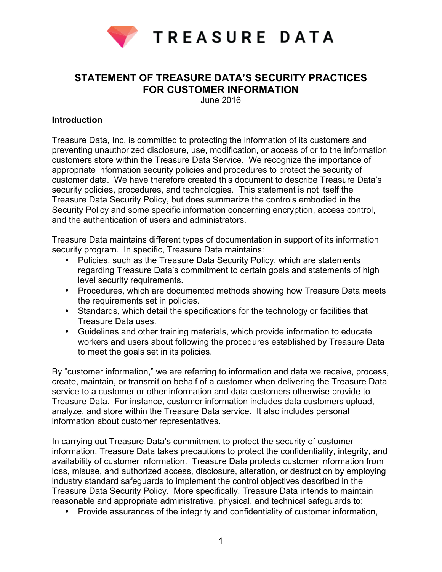

# **STATEMENT OF TREASURE DATA'S SECURITY PRACTICES FOR CUSTOMER INFORMATION**

June 2016

#### **Introduction**

Treasure Data, Inc. is committed to protecting the information of its customers and preventing unauthorized disclosure, use, modification, or access of or to the information customers store within the Treasure Data Service. We recognize the importance of appropriate information security policies and procedures to protect the security of customer data. We have therefore created this document to describe Treasure Data's security policies, procedures, and technologies. This statement is not itself the Treasure Data Security Policy, but does summarize the controls embodied in the Security Policy and some specific information concerning encryption, access control, and the authentication of users and administrators.

Treasure Data maintains different types of documentation in support of its information security program. In specific, Treasure Data maintains:

- Policies, such as the Treasure Data Security Policy, which are statements regarding Treasure Data's commitment to certain goals and statements of high level security requirements.
- Procedures, which are documented methods showing how Treasure Data meets the requirements set in policies.
- Standards, which detail the specifications for the technology or facilities that Treasure Data uses.
- Guidelines and other training materials, which provide information to educate workers and users about following the procedures established by Treasure Data to meet the goals set in its policies.

By "customer information," we are referring to information and data we receive, process, create, maintain, or transmit on behalf of a customer when delivering the Treasure Data service to a customer or other information and data customers otherwise provide to Treasure Data. For instance, customer information includes data customers upload, analyze, and store within the Treasure Data service. It also includes personal information about customer representatives.

In carrying out Treasure Data's commitment to protect the security of customer information, Treasure Data takes precautions to protect the confidentiality, integrity, and availability of customer information. Treasure Data protects customer information from loss, misuse, and authorized access, disclosure, alteration, or destruction by employing industry standard safeguards to implement the control objectives described in the Treasure Data Security Policy. More specifically, Treasure Data intends to maintain reasonable and appropriate administrative, physical, and technical safeguards to:

• Provide assurances of the integrity and confidentiality of customer information,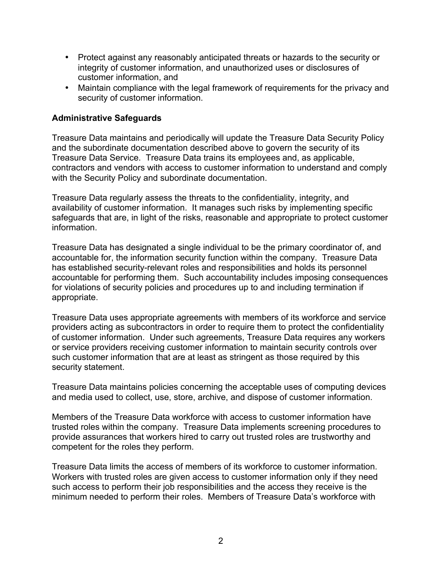- Protect against any reasonably anticipated threats or hazards to the security or integrity of customer information, and unauthorized uses or disclosures of customer information, and
- Maintain compliance with the legal framework of requirements for the privacy and security of customer information.

### **Administrative Safeguards**

Treasure Data maintains and periodically will update the Treasure Data Security Policy and the subordinate documentation described above to govern the security of its Treasure Data Service. Treasure Data trains its employees and, as applicable, contractors and vendors with access to customer information to understand and comply with the Security Policy and subordinate documentation.

Treasure Data regularly assess the threats to the confidentiality, integrity, and availability of customer information. It manages such risks by implementing specific safeguards that are, in light of the risks, reasonable and appropriate to protect customer information.

Treasure Data has designated a single individual to be the primary coordinator of, and accountable for, the information security function within the company. Treasure Data has established security-relevant roles and responsibilities and holds its personnel accountable for performing them. Such accountability includes imposing consequences for violations of security policies and procedures up to and including termination if appropriate.

Treasure Data uses appropriate agreements with members of its workforce and service providers acting as subcontractors in order to require them to protect the confidentiality of customer information. Under such agreements, Treasure Data requires any workers or service providers receiving customer information to maintain security controls over such customer information that are at least as stringent as those required by this security statement.

Treasure Data maintains policies concerning the acceptable uses of computing devices and media used to collect, use, store, archive, and dispose of customer information.

Members of the Treasure Data workforce with access to customer information have trusted roles within the company. Treasure Data implements screening procedures to provide assurances that workers hired to carry out trusted roles are trustworthy and competent for the roles they perform.

Treasure Data limits the access of members of its workforce to customer information. Workers with trusted roles are given access to customer information only if they need such access to perform their job responsibilities and the access they receive is the minimum needed to perform their roles. Members of Treasure Data's workforce with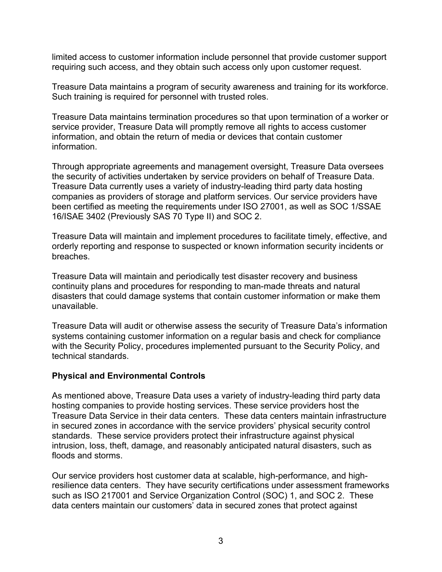limited access to customer information include personnel that provide customer support requiring such access, and they obtain such access only upon customer request.

Treasure Data maintains a program of security awareness and training for its workforce. Such training is required for personnel with trusted roles.

Treasure Data maintains termination procedures so that upon termination of a worker or service provider, Treasure Data will promptly remove all rights to access customer information, and obtain the return of media or devices that contain customer information.

Through appropriate agreements and management oversight, Treasure Data oversees the security of activities undertaken by service providers on behalf of Treasure Data. Treasure Data currently uses a variety of industry-leading third party data hosting companies as providers of storage and platform services. Our service providers have been certified as meeting the requirements under ISO 27001, as well as SOC 1/SSAE 16/ISAE 3402 (Previously SAS 70 Type II) and SOC 2.

Treasure Data will maintain and implement procedures to facilitate timely, effective, and orderly reporting and response to suspected or known information security incidents or breaches.

Treasure Data will maintain and periodically test disaster recovery and business continuity plans and procedures for responding to man-made threats and natural disasters that could damage systems that contain customer information or make them unavailable.

Treasure Data will audit or otherwise assess the security of Treasure Data's information systems containing customer information on a regular basis and check for compliance with the Security Policy, procedures implemented pursuant to the Security Policy, and technical standards.

#### **Physical and Environmental Controls**

As mentioned above, Treasure Data uses a variety of industry-leading third party data hosting companies to provide hosting services. These service providers host the Treasure Data Service in their data centers. These data centers maintain infrastructure in secured zones in accordance with the service providers' physical security control standards. These service providers protect their infrastructure against physical intrusion, loss, theft, damage, and reasonably anticipated natural disasters, such as floods and storms.

Our service providers host customer data at scalable, high-performance, and highresilience data centers. They have security certifications under assessment frameworks such as ISO 217001 and Service Organization Control (SOC) 1, and SOC 2. These data centers maintain our customers' data in secured zones that protect against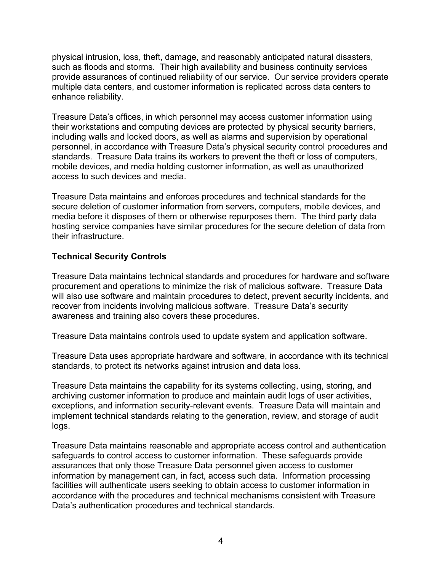physical intrusion, loss, theft, damage, and reasonably anticipated natural disasters, such as floods and storms. Their high availability and business continuity services provide assurances of continued reliability of our service. Our service providers operate multiple data centers, and customer information is replicated across data centers to enhance reliability.

Treasure Data's offices, in which personnel may access customer information using their workstations and computing devices are protected by physical security barriers, including walls and locked doors, as well as alarms and supervision by operational personnel, in accordance with Treasure Data's physical security control procedures and standards. Treasure Data trains its workers to prevent the theft or loss of computers, mobile devices, and media holding customer information, as well as unauthorized access to such devices and media.

Treasure Data maintains and enforces procedures and technical standards for the secure deletion of customer information from servers, computers, mobile devices, and media before it disposes of them or otherwise repurposes them. The third party data hosting service companies have similar procedures for the secure deletion of data from their infrastructure.

## **Technical Security Controls**

Treasure Data maintains technical standards and procedures for hardware and software procurement and operations to minimize the risk of malicious software. Treasure Data will also use software and maintain procedures to detect, prevent security incidents, and recover from incidents involving malicious software. Treasure Data's security awareness and training also covers these procedures.

Treasure Data maintains controls used to update system and application software.

Treasure Data uses appropriate hardware and software, in accordance with its technical standards, to protect its networks against intrusion and data loss.

Treasure Data maintains the capability for its systems collecting, using, storing, and archiving customer information to produce and maintain audit logs of user activities, exceptions, and information security-relevant events. Treasure Data will maintain and implement technical standards relating to the generation, review, and storage of audit logs.

Treasure Data maintains reasonable and appropriate access control and authentication safeguards to control access to customer information. These safeguards provide assurances that only those Treasure Data personnel given access to customer information by management can, in fact, access such data. Information processing facilities will authenticate users seeking to obtain access to customer information in accordance with the procedures and technical mechanisms consistent with Treasure Data's authentication procedures and technical standards.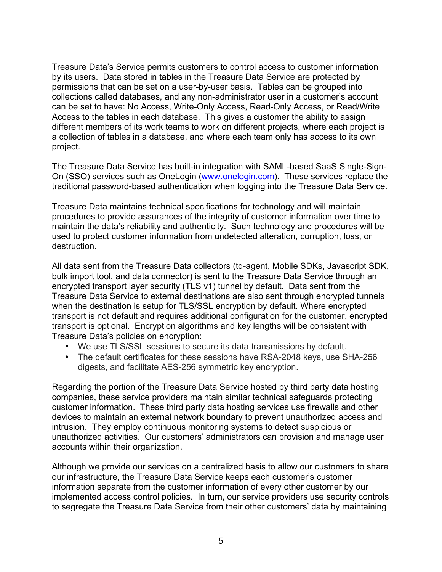Treasure Data's Service permits customers to control access to customer information by its users. Data stored in tables in the Treasure Data Service are protected by permissions that can be set on a user-by-user basis. Tables can be grouped into collections called databases, and any non-administrator user in a customer's account can be set to have: No Access, Write-Only Access, Read-Only Access, or Read/Write Access to the tables in each database. This gives a customer the ability to assign different members of its work teams to work on different projects, where each project is a collection of tables in a database, and where each team only has access to its own project.

The Treasure Data Service has built-in integration with SAML-based SaaS Single-Sign-On (SSO) services such as OneLogin (www.onelogin.com). These services replace the traditional password-based authentication when logging into the Treasure Data Service.

Treasure Data maintains technical specifications for technology and will maintain procedures to provide assurances of the integrity of customer information over time to maintain the data's reliability and authenticity. Such technology and procedures will be used to protect customer information from undetected alteration, corruption, loss, or destruction.

All data sent from the Treasure Data collectors (td-agent, Mobile SDKs, Javascript SDK, bulk import tool, and data connector) is sent to the Treasure Data Service through an encrypted transport layer security (TLS v1) tunnel by default. Data sent from the Treasure Data Service to external destinations are also sent through encrypted tunnels when the destination is setup for TLS/SSL encryption by default. Where encrypted transport is not default and requires additional configuration for the customer, encrypted transport is optional. Encryption algorithms and key lengths will be consistent with Treasure Data's policies on encryption:

- We use TLS/SSL sessions to secure its data transmissions by default.
- The default certificates for these sessions have RSA-2048 keys, use SHA-256 digests, and facilitate AES-256 symmetric key encryption.

Regarding the portion of the Treasure Data Service hosted by third party data hosting companies, these service providers maintain similar technical safeguards protecting customer information. These third party data hosting services use firewalls and other devices to maintain an external network boundary to prevent unauthorized access and intrusion. They employ continuous monitoring systems to detect suspicious or unauthorized activities. Our customers' administrators can provision and manage user accounts within their organization.

Although we provide our services on a centralized basis to allow our customers to share our infrastructure, the Treasure Data Service keeps each customer's customer information separate from the customer information of every other customer by our implemented access control policies. In turn, our service providers use security controls to segregate the Treasure Data Service from their other customers' data by maintaining